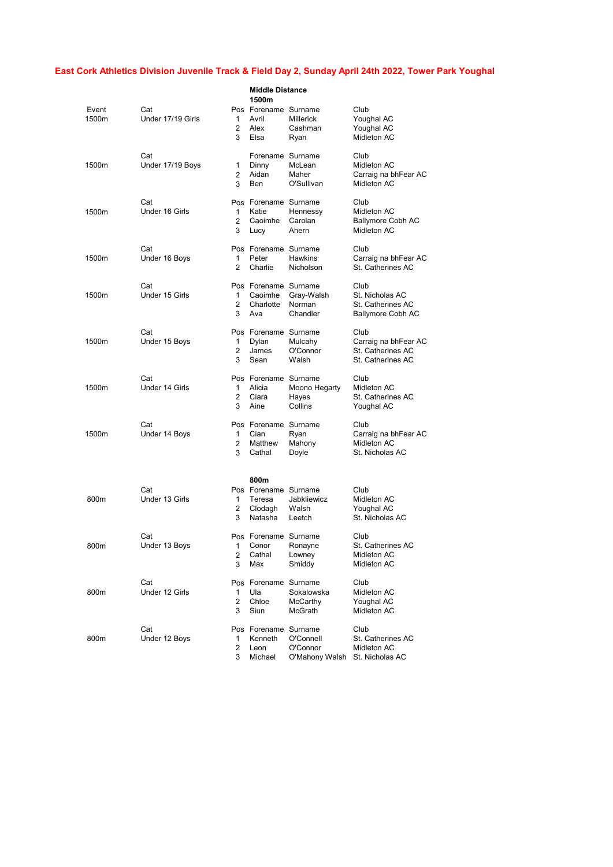|                |                          |                          | <b>Middle Distance</b><br>1500m                      |                                         |                                                                        |
|----------------|--------------------------|--------------------------|------------------------------------------------------|-----------------------------------------|------------------------------------------------------------------------|
| Event<br>1500m | Cat<br>Under 17/19 Girls | 1<br>2<br>3              | Pos Forename Surname<br>Avril<br>Alex<br>Elsa        | <b>Millerick</b><br>Cashman<br>Ryan     | Club<br>Youghal AC<br>Youghal AC<br>Midleton AC                        |
| 1500m          | Cat<br>Under 17/19 Boys  | 1<br>2<br>3              | Forename Surname<br>Dinny<br>Aidan<br>Ben            | McLean<br>Maher<br>O'Sullivan           | Club<br>Midleton AC<br>Carraig na bhFear AC<br>Midleton AC             |
| 1500m          | Cat<br>Under 16 Girls    | 1<br>2<br>3              | Pos Forename Surname<br>Katie<br>Caoimhe<br>Lucy     | Hennessy<br>Carolan<br>Ahern            | Club<br>Midleton AC<br><b>Ballymore Cobh AC</b><br>Midleton AC         |
| 1500m          | Cat<br>Under 16 Boys     | 1<br>2                   | Pos Forename Surname<br>Peter<br>Charlie             | <b>Hawkins</b><br>Nicholson             | Club<br>Carraig na bhFear AC<br>St. Catherines AC                      |
| 1500m          | Cat<br>Under 15 Girls    | 1<br>2<br>3              | Pos Forename Surname<br>Caoimhe<br>Charlotte<br>Ava  | Gray-Walsh<br>Norman<br>Chandler        | Club<br>St. Nicholas AC<br>St. Catherines AC<br>Ballymore Cobh AC      |
| 1500m          | Cat<br>Under 15 Boys     | 1<br>$\overline{2}$<br>3 | Pos Forename Surname<br>Dylan<br>James<br>Sean       | Mulcahy<br>O'Connor<br>Walsh            | Club<br>Carraig na bhFear AC<br>St. Catherines AC<br>St. Catherines AC |
| 1500m          | Cat<br>Under 14 Girls    | 1<br>2<br>3              | Pos Forename Surname<br>Alicia<br>Ciara<br>Aine      | Moono Hegarty<br>Hayes<br>Collins       | Club<br>Midleton AC<br>St. Catherines AC<br>Youghal AC                 |
| 1500m          | Cat<br>Under 14 Boys     | 1<br>2<br>3              | Pos Forename Surname<br>Cian<br>Matthew<br>Cathal    | Ryan<br>Mahony<br>Doyle                 | Club<br>Carraig na bhFear AC<br>Midleton AC<br>St. Nicholas AC         |
|                |                          |                          | 800m                                                 |                                         |                                                                        |
| 800m           | Cat<br>Under 13 Girls    | 1<br>2<br>3              | Pos Forename Surname<br>Teresa<br>Clodagh<br>Natasha | Jabkliewicz<br>Walsh<br>Leetch          | Club<br>Midleton AC<br>Youghal AC<br>St. Nicholas AC                   |
| 800m           | Cat<br>Under 13 Boys     | 1<br>2<br>3              | Pos Forename Surname<br>Conor<br>Cathal<br>Max       | Ronayne<br>Lowney<br>Smiddy             | Club<br>St. Catherines AC<br>Midleton AC<br>Midleton AC                |
| 800m           | Cat<br>Under 12 Girls    | 1<br>2<br>3              | Pos Forename Surname<br>Ula<br>Chloe<br>Siun         | Sokalowska<br>McCarthy<br>McGrath       | Club<br>Midleton AC<br>Youghal AC<br>Midleton AC                       |
| 800m           | Cat<br>Under 12 Boys     | 1<br>2<br>3              | Pos Forename Surname<br>Kenneth<br>Leon<br>Michael   | O'Connell<br>O'Connor<br>O'Mahony Walsh | Club<br>St. Catherines AC<br>Midleton AC<br>St. Nicholas AC            |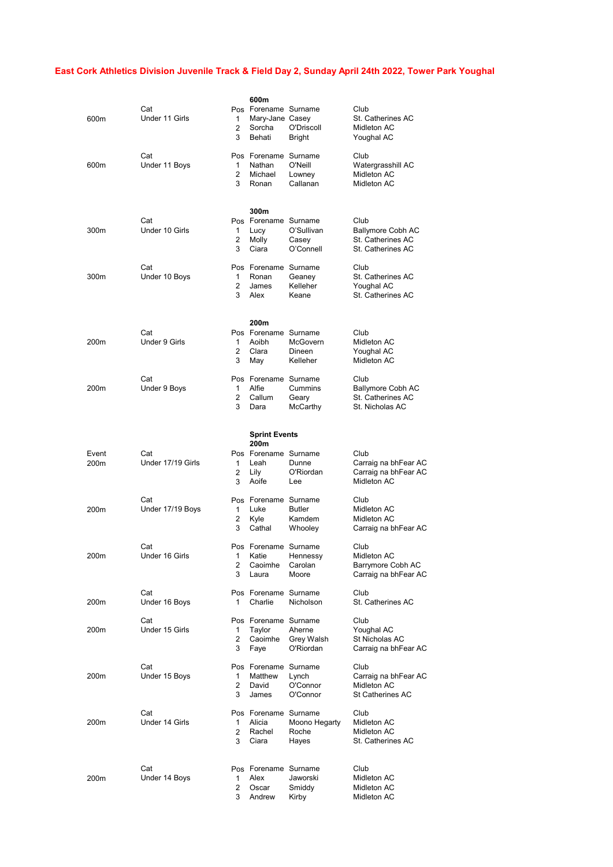| 600m             | Cat<br>Under 11 Girls    | 600m<br>1<br>2<br>Sorcha<br>3<br>Behati                | Pos Forename Surname<br>Mary-Jane Casey<br>O'Driscoll<br><b>Bright</b> | Club<br>St. Catherines AC<br>Midleton AC<br>Youghal AC                   |
|------------------|--------------------------|--------------------------------------------------------|------------------------------------------------------------------------|--------------------------------------------------------------------------|
| 600m             | Cat<br>Under 11 Boys     | Nathan<br>1<br>$\overline{2}$<br>Michael<br>3<br>Ronan | Pos Forename Surname<br>O'Neill<br>Lowney<br>Callanan                  | Club<br>Watergrasshill AC<br>Midleton AC<br>Midleton AC                  |
| 300m             | Cat<br>Under 10 Girls    | 300m<br>Lucy<br>1<br>2<br>Molly<br>3<br>Ciara          | Pos Forename Surname<br>O'Sullivan<br>Casey<br>O'Connell               | Club<br>Ballymore Cobh AC<br>St. Catherines AC<br>St. Catherines AC      |
| 300m             | Cat<br>Under 10 Boys     | 1<br>Ronan<br>2<br>James<br>3<br>Alex                  | Pos Forename Surname<br>Geaney<br>Kelleher<br>Keane                    | Club<br>St. Catherines AC<br>Youghal AC<br>St. Catherines AC             |
| 200 <sub>m</sub> | Cat<br>Under 9 Girls     | 200m<br>1<br>Aoibh<br>2<br>Clara<br>3<br>May           | Pos Forename Surname<br>McGovern<br><b>Dineen</b><br>Kelleher          | Club<br>Midleton AC<br>Youghal AC<br>Midleton AC                         |
| 200 <sub>m</sub> | Cat<br>Under 9 Boys      | Alfie<br>1<br>2<br>Callum<br>3<br>Dara                 | Pos Forename Surname<br>Cummins<br>Geary<br>McCarthy                   | Club<br><b>Ballymore Cobh AC</b><br>St. Catherines AC<br>St. Nicholas AC |
|                  |                          |                                                        | <b>Sprint Events</b>                                                   |                                                                          |
| Event<br>200m    | Cat<br>Under 17/19 Girls | 200m<br>1<br>Leah<br>2<br>Lily<br>3<br>Aoife           | Pos Forename Surname<br>Dunne<br>O'Riordan<br>Lee                      | Club<br>Carraig na bhFear AC<br>Carraig na bhFear AC<br>Midleton AC      |
| 200m             | Cat<br>Under 17/19 Boys  | 1<br>Luke<br>2<br>Kyle<br>3<br>Cathal                  | Pos Forename Surname<br><b>Butler</b><br>Kamdem<br>Whooley             | Club<br>Midleton AC<br>Midleton AC<br>Carraig na bhFear AC               |
| 200m             | Cat<br>Under 16 Girls    | 1<br>Katie<br>2<br>Caoimhe<br>3<br>Laura               | Pos Forename Surname<br>Hennessy<br>Carolan<br>Moore                   | Club<br>Midleton AC<br>Barrymore Cobh AC<br>Carraig na bhFear AC         |
| 200m             | Cat<br>Under 16 Boys     | 1<br>Charlie                                           | Pos Forename Surname<br>Nicholson                                      | Club<br>St. Catherines AC                                                |
| 200m             | Cat<br>Under 15 Girls    | Taylor<br>1<br>2<br>Caoimhe<br>3<br>Faye               | Pos Forename Surname<br>Aherne<br>Grey Walsh<br>O'Riordan              | Club<br>Youghal AC<br>St Nicholas AC<br>Carraig na bhFear AC             |
|                  |                          |                                                        |                                                                        |                                                                          |
| 200m             | Cat<br>Under 15 Boys     | 1<br>Matthew<br>2<br>David<br>3<br>James               | Pos Forename Surname<br>Lynch<br>O'Connor<br>O'Connor                  | Club<br>Carraig na bhFear AC<br>Midleton AC<br><b>St Catherines AC</b>   |
| 200m             | Cat<br>Under 14 Girls    | Alicia<br>1<br>2<br>Rachel<br>3<br>Ciara               | Pos Forename Surname<br>Moono Hegarty<br>Roche<br>Hayes                | Club<br>Midleton AC<br>Midleton AC<br>St. Catherines AC                  |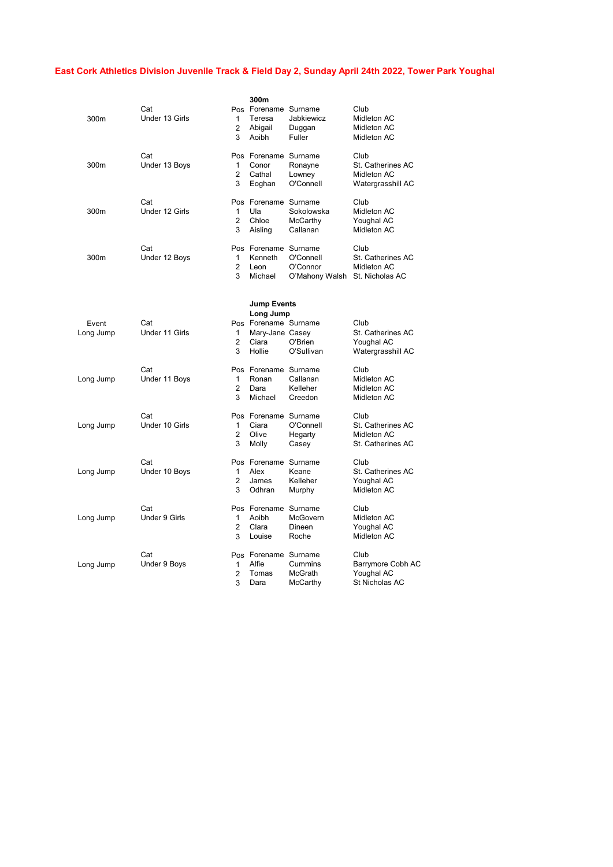| 300m               | Cat<br>Under 13 Girls | 1<br>2<br>3              | 300m<br>Pos Forename Surname<br>Teresa<br>Abigail<br>Aoibh                                    | Jabkiewicz<br>Duggan<br>Fuller          | Club<br>Midleton AC<br>Midleton AC<br>Midleton AC             |
|--------------------|-----------------------|--------------------------|-----------------------------------------------------------------------------------------------|-----------------------------------------|---------------------------------------------------------------|
| 300m               | Cat<br>Under 13 Boys  | $\mathbf{1}$<br>2<br>3   | Pos Forename Surname<br>Conor<br>Cathal<br>Eoghan                                             | Ronayne<br>Lowney<br>O'Connell          | Club<br>St. Catherines AC<br>Midleton AC<br>Watergrasshill AC |
| 300m               | Cat<br>Under 12 Girls | 1<br>$\overline{2}$<br>3 | Pos Forename Surname<br>Ula<br>Chloe<br>Aisling                                               | Sokolowska<br>McCarthy<br>Callanan      | Club<br>Midleton AC<br>Youghal AC<br>Midleton AC              |
| 300m               | Cat<br>Under 12 Boys  | 1<br>$\overline{2}$<br>3 | Pos Forename Surname<br>Kenneth<br>Leon<br>Michael                                            | O'Connell<br>O'Connor<br>O'Mahony Walsh | Club<br>St. Catherines AC<br>Midleton AC<br>St. Nicholas AC   |
| Event<br>Long Jump | Cat<br>Under 11 Girls | 1<br>$\overline{2}$<br>3 | <b>Jump Events</b><br>Long Jump<br>Pos Forename Surname<br>Mary-Jane Casey<br>Ciara<br>Hollie | O'Brien<br>O'Sullivan                   | Club<br>St. Catherines AC<br>Youghal AC<br>Watergrasshill AC  |
| Long Jump          | Cat<br>Under 11 Boys  | 1<br>$\overline{2}$<br>3 | Pos Forename Surname<br>Ronan<br>Dara<br>Michael                                              | Callanan<br>Kelleher<br>Creedon         | Club<br>Midleton AC<br>Midleton AC<br>Midleton AC             |
| Long Jump          | Cat<br>Under 10 Girls | 1<br>$\overline{2}$<br>3 | Pos Forename Surname<br>Ciara<br>Olive<br>Molly                                               | O'Connell<br>Hegarty<br>Casey           | Club<br>St. Catherines AC<br>Midleton AC<br>St. Catherines AC |
| Long Jump          | Cat<br>Under 10 Boys  | 1<br>$\overline{2}$<br>3 | Pos Forename Surname<br>Alex<br>James<br>Odhran                                               | Keane<br>Kelleher<br>Murphy             | Club<br>St. Catherines AC<br>Youghal AC<br>Midleton AC        |
| Long Jump          | Cat<br>Under 9 Girls  | 1<br>$\overline{2}$<br>3 | Pos Forename Surname<br>Aoibh<br>Clara<br>Louise                                              | McGovern<br>Dineen<br>Roche             | Club<br>Midleton AC<br>Youghal AC<br>Midleton AC              |
| Long Jump          | Cat<br>Under 9 Boys   | 1<br>2<br>3              | Pos Forename Surname<br>Alfie<br>Tomas<br>Dara                                                | Cummins<br>McGrath<br>McCarthy          | Club<br>Barrymore Cobh AC<br>Youghal AC<br>St Nicholas AC     |